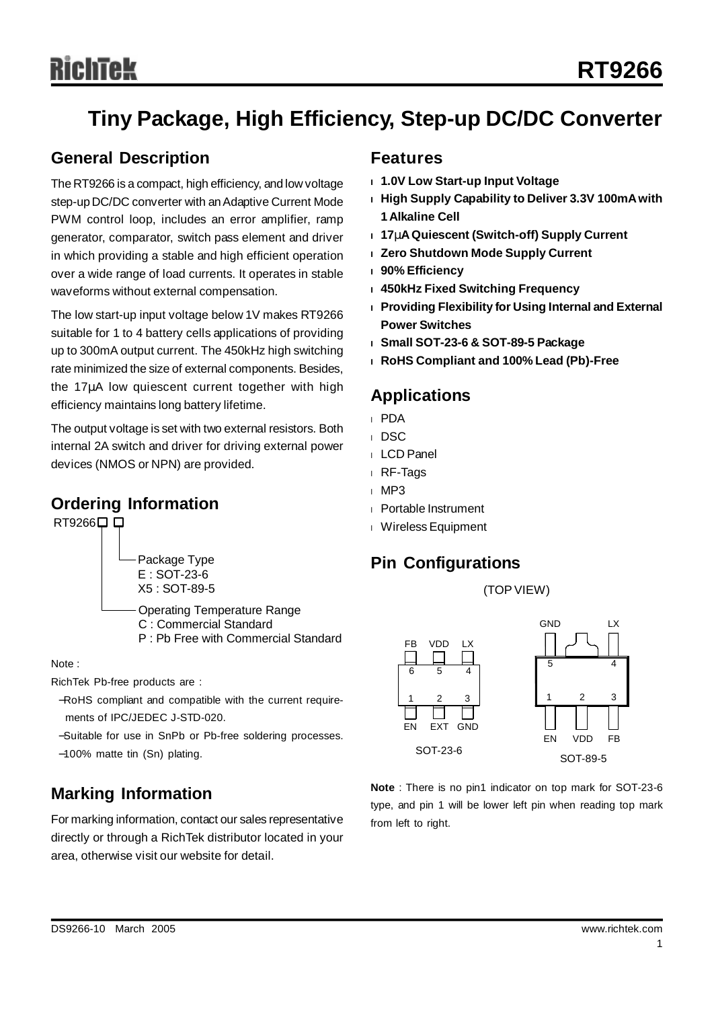# Richtek

# **Tiny Package, High Efficiency, Step-up DC/DC Converter**

#### **General Description**

The RT9266 is a compact, high efficiency, and low voltage step-up DC/DC converter with an Adaptive Current Mode PWM control loop, includes an error amplifier, ramp generator, comparator, switch pass element and driver in which providing a stable and high efficient operation over a wide range of load currents. It operates in stable waveforms without external compensation.

The low start-up input voltage below 1V makes RT9266 suitable for 1 to 4 battery cells applications of providing up to 300mA output current. The 450kHz high switching rate minimized the size of external components. Besides, the 17μA low quiescent current together with high efficiency maintains long battery lifetime.

The output voltage is set with two external resistors. Both internal 2A switch and driver for driving external power devices (NMOS or NPN) are provided.

#### **Ordering Information**

RT9266□□

Package Type E : SOT-23-6 X5 : SOT-89-5

Operating Temperature Range C : Commercial Standard P : Pb Free with Commercial Standard

Note :

RichTek Pb-free products are :

- −RoHS compliant and compatible with the current requirements of IPC/JEDEC J-STD-020.
- −Suitable for use in SnPb or Pb-free soldering processes.
- −100% matte tin (Sn) plating.

## **Marking Information**

For marking information, contact our sales representative directly or through a RichTek distributor located in your area, otherwise visit our website for detail.

#### **Features**

- **<sup>l</sup> 1.0V Low Start-up Input Voltage**
- **<sup>l</sup> High Supply Capability to Deliver 3.3V 100mAwith 1 Alkaline Cell**
- **<sup>l</sup> 17mAQuiescent (Switch-off) Supply Current**
- **<sup>l</sup> Zero Shutdown Mode Supply Current**
- **<sup>l</sup> 90% Efficiency**
- **<sup>l</sup> 450kHz Fixed Switching Frequency**
- **<sup>l</sup> Providing Flexibility for Using Internal and External Power Switches**
- **<sup>l</sup> Small SOT-23-6 & SOT-89-5 Package**
- **<sup>l</sup> RoHS Compliant and 100% Lead (Pb)-Free**

#### **Applications**

- <sup>l</sup> PDA
- <sup>l</sup> DSC
- <sup>l</sup> LCD Panel
- <sup>l</sup> RF-Tags
- <sup>l</sup> MP3
- <sup>l</sup> Portable Instrument
- <sup>l</sup> WirelessEquipment

#### **Pin Configurations**





**Note** : There is no pin1 indicator on top mark for SOT-23-6 type, and pin 1 will be lower left pin when reading top mark from left to right.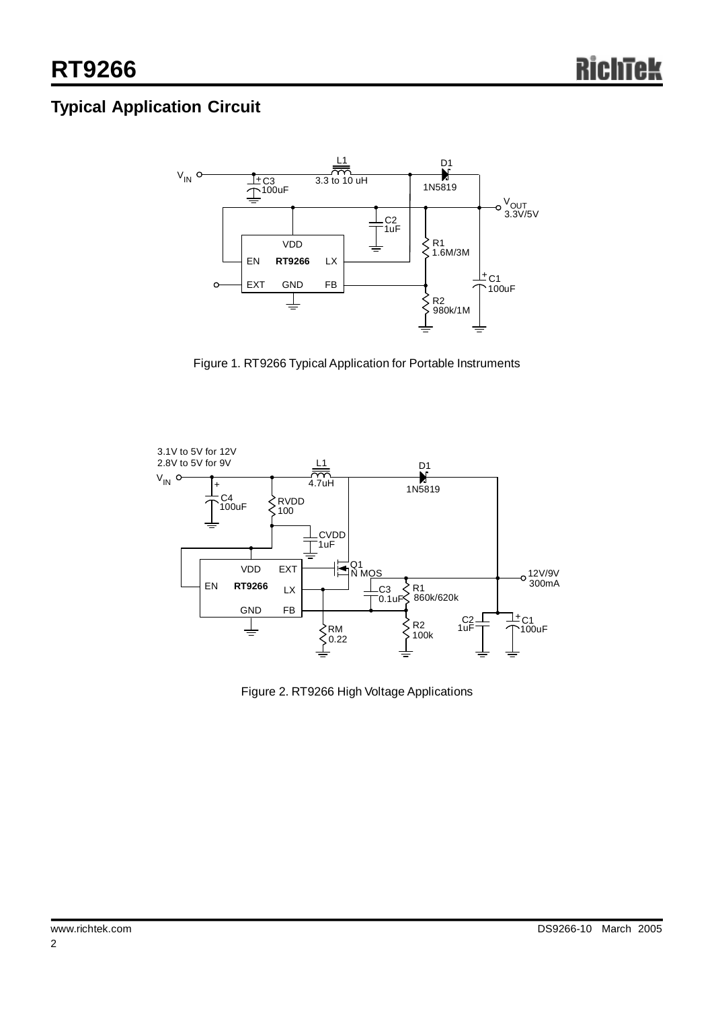# **Typical Application Circuit**



Figure 1. RT9266 Typical Application for Portable Instruments



Figure 2. RT9266 High Voltage Applications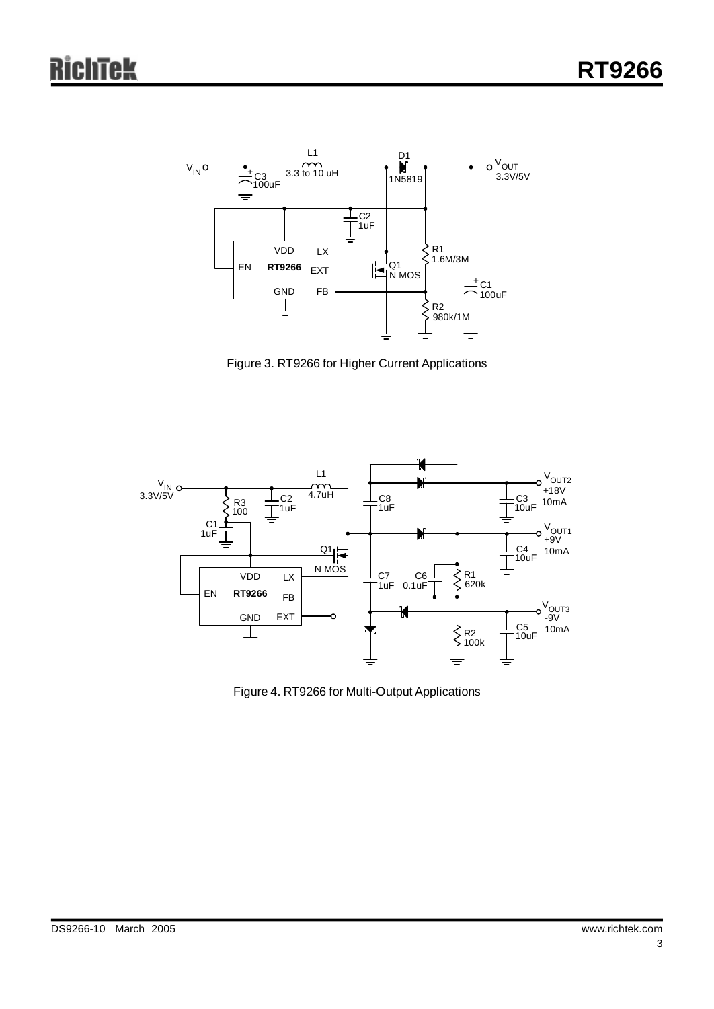

Figure 3. RT9266 for Higher Current Applications



Figure 4. RT9266 for Multi-Output Applications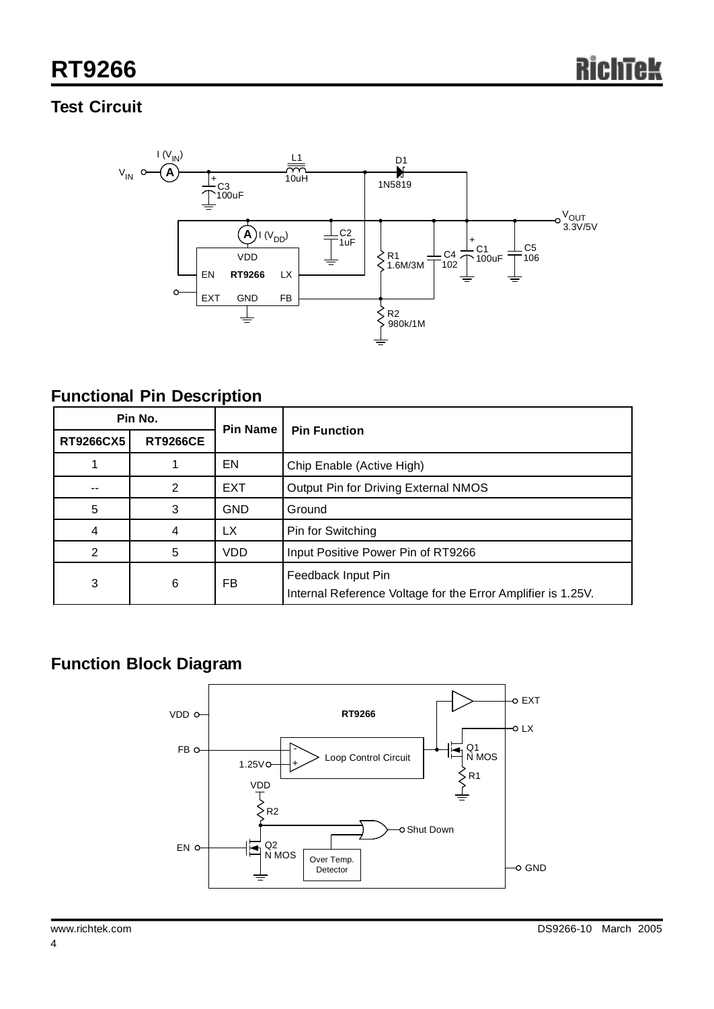## **Test Circuit**



#### **Functional Pin Description**

| Pin No.          |                 | Pin Name   | <b>Pin Function</b>                                                                |  |
|------------------|-----------------|------------|------------------------------------------------------------------------------------|--|
| <b>RT9266CX5</b> | <b>RT9266CE</b> |            |                                                                                    |  |
|                  |                 | EN         | Chip Enable (Active High)                                                          |  |
|                  | 2               | <b>EXT</b> | Output Pin for Driving External NMOS                                               |  |
| 5                | 3               | <b>GND</b> | Ground                                                                             |  |
| 4                | 4               | LX         | Pin for Switching                                                                  |  |
| 2                | 5               | <b>VDD</b> | Input Positive Power Pin of RT9266                                                 |  |
| 3                | 6               | FB         | Feedback Input Pin<br>Internal Reference Voltage for the Error Amplifier is 1.25V. |  |

# **Function Block Diagram**

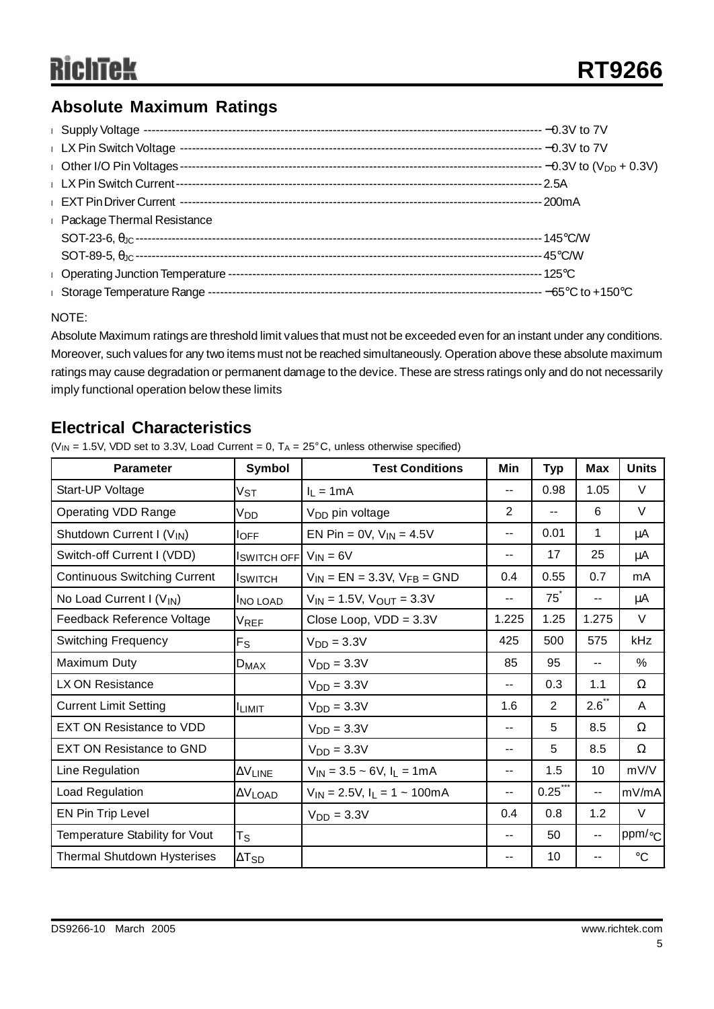## **Absolute Maximum Ratings**

| <b>Example 2</b> Package Thermal Resistance |  |
|---------------------------------------------|--|
|                                             |  |
|                                             |  |
|                                             |  |
| I Storage Temperature Range -               |  |

#### NOTE:

Absolute Maximum ratings are threshold limit values that must not be exceeded even for an instant under any conditions. Moreover, such values for any two items must not be reached simultaneously. Operation above these absolute maximum ratings may cause degradation or permanent damage to the device. These are stress ratings only and do not necessarily imply functional operation below these limits

#### **Electrical Characteristics**

( $V_{IN}$  = 1.5V, VDD set to 3.3V, Load Current = 0, T<sub>A</sub> =  $25^{\circ}$ C, unless otherwise specified)

| Parameter                             | Symbol            | <b>Test Conditions</b>              | Min                      | <b>Typ</b>     | <b>Max</b>               | <b>Units</b>   |
|---------------------------------------|-------------------|-------------------------------------|--------------------------|----------------|--------------------------|----------------|
| Start-UP Voltage                      | Vst               | $I_1 = 1mA$                         | $\overline{\phantom{a}}$ | 0.98           | 1.05                     | $\vee$         |
| <b>Operating VDD Range</b>            | Vnn               | V <sub>DD</sub> pin voltage         | 2                        | $- -$          | 6                        | V              |
| Shutdown Current I (V <sub>IN</sub> ) | loff              | EN Pin = $0V$ , $V_{IN} = 4.5V$     | $-$                      | 0.01           | 1                        | μA             |
| Switch-off Current I (VDD)            | Iswitch off       | $V_{IN} = 6V$                       | $\overline{\phantom{a}}$ | 17             | 25                       | μA             |
| <b>Continuous Switching Current</b>   | <b>I</b> SWITCH   | $V_{IN} = EN = 3.3V, V_{FB} = GND$  | 0.4                      | 0.55           | 0.7                      | mA             |
| No Load Current I (V <sub>IN</sub> )  | <b>INO LOAD</b>   | $V_{IN}$ = 1.5V, $V_{OUT}$ = 3.3V   | $\qquad \qquad -$        | $75^\circ$     | --                       | μA             |
| Feedback Reference Voltage            | V <sub>REF</sub>  | Close Loop, $VDD = 3.3V$            | 1.225                    | 1.25           | 1.275                    | $\vee$         |
| <b>Switching Frequency</b>            | $F_S$             | $VDD = 3.3V$                        | 425                      | 500            | 575                      | kHz            |
| Maximum Duty                          | $D_{MAX}$         | $VDD = 3.3V$                        | 85                       | 95             | $\overline{\phantom{a}}$ | %              |
| LX ON Resistance                      |                   | $VDD = 3.3V$                        | $\overline{\phantom{a}}$ | 0.3            | 1.1                      | Ω              |
| <b>Current Limit Setting</b>          | <b>ILIMIT</b>     | $VDD = 3.3V$                        | 1.6                      | $\overline{2}$ | $2.6^{\degree}$          | A              |
| <b>EXT ON Resistance to VDD</b>       |                   | $VDD = 3.3V$                        | $\overline{\phantom{a}}$ | 5              | 8.5                      | Ω              |
| <b>EXT ON Resistance to GND</b>       |                   | $V_{DD} = 3.3V$                     | $\overline{\phantom{a}}$ | 5              | 8.5                      | $\Omega$       |
| Line Regulation                       | $\Delta V_{LINE}$ | $V_{IN}$ = 3.5 ~ 6V, $I_L$ = 1mA    | $\sim$ $\sim$            | 1.5            | 10                       | mV/V           |
| Load Regulation                       | $\Delta V$ load   | $V_{IN} = 2.5V, I_L = 1 \sim 100mA$ | --                       | $0.25$ ***     | $\overline{\phantom{m}}$ | mV/mA          |
| EN Pin Trip Level                     |                   | $VDD = 3.3V$                        | 0.4                      | 0.8            | 1.2                      | V              |
| Temperature Stability for Vout        | Τs                |                                     | $- -$                    | 50             | $\overline{\phantom{a}}$ | ppm/ $\circ$ c |
| <b>Thermal Shutdown Hysterises</b>    | $\Delta T_{SD}$   |                                     | $\sim$ $\sim$            | 10             | --                       | $^{\circ}C$    |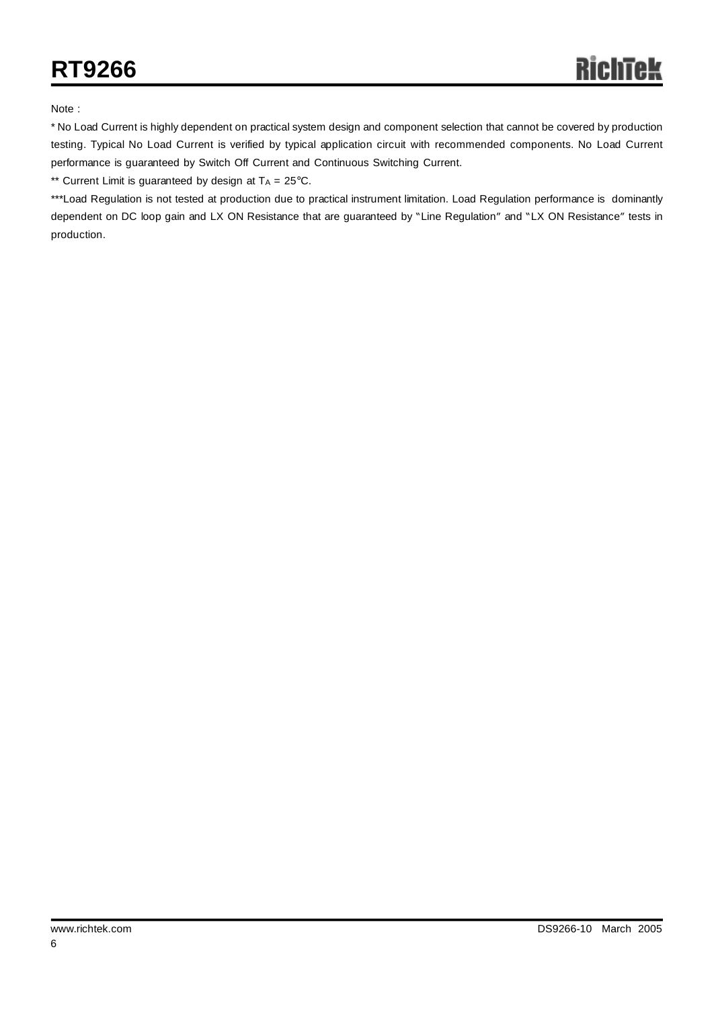Note :

\* No Load Current is highly dependent on practical system design and component selection that cannot be covered by production testing. Typical No Load Current is verified by typical application circuit with recommended components. No Load Current performance is guaranteed by Switch Off Current and Continuous Switching Current.

\*\* Current Limit is guaranteed by design at  $T_A = 25^{\circ}$ C.

\*\*\*Load Regulation is not tested at production due to practical instrument limitation. Load Regulation performance is dominantly dependent on DC loop gain and LX ON Resistance that are guaranteed by "Line Regulation" and "LX ON Resistance" tests in production.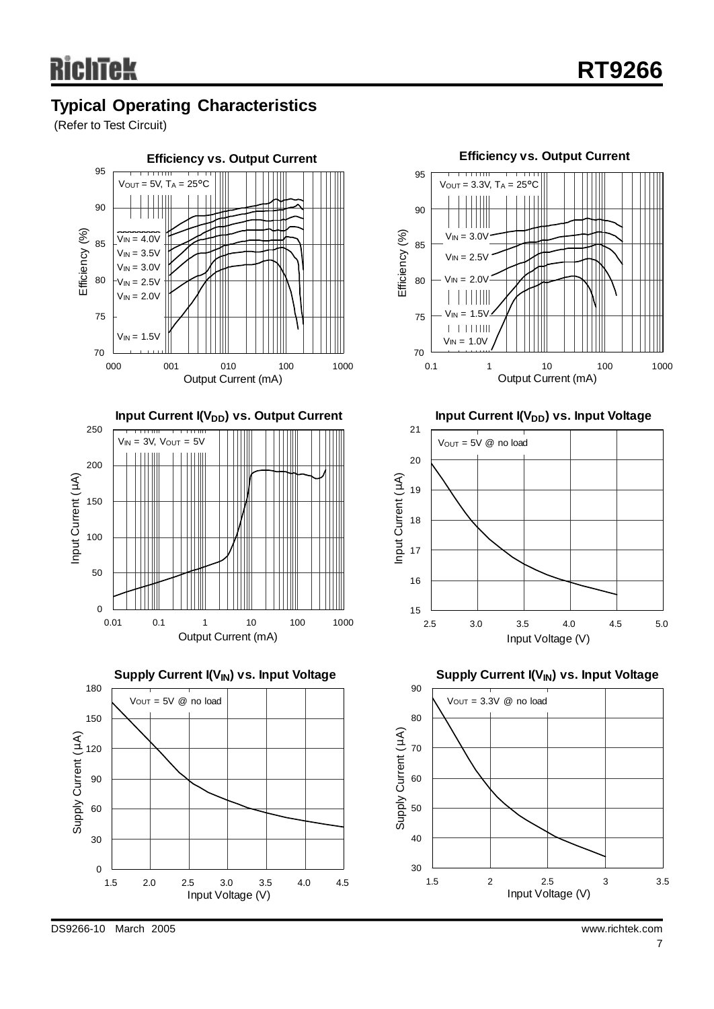## **Typical Operating Characteristics**

(Refer to Test Circuit)

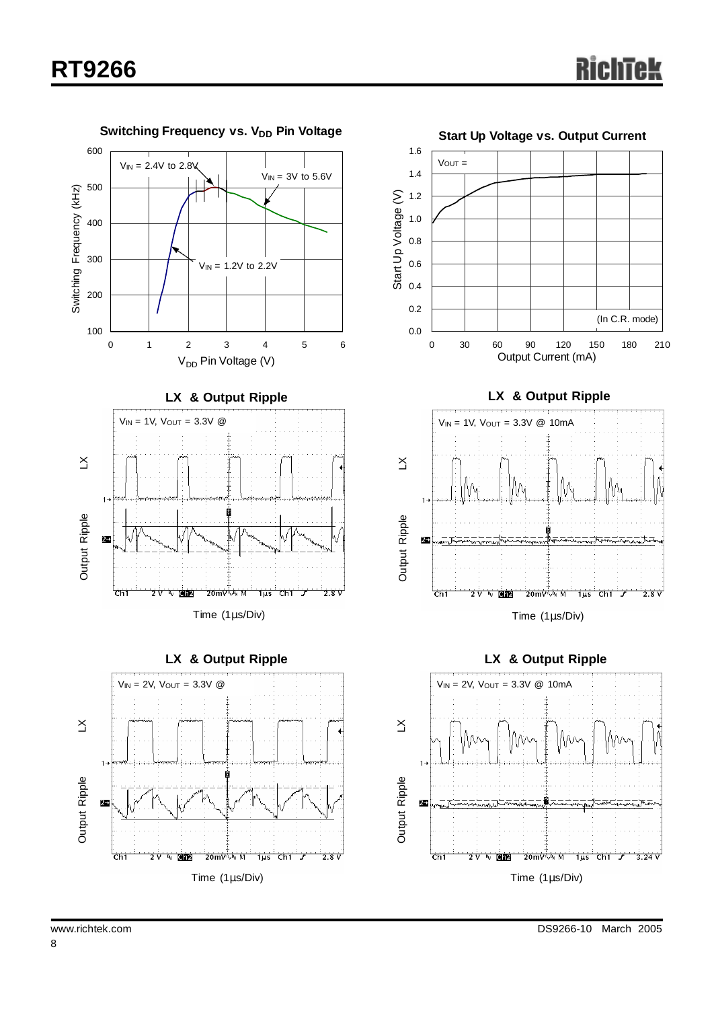







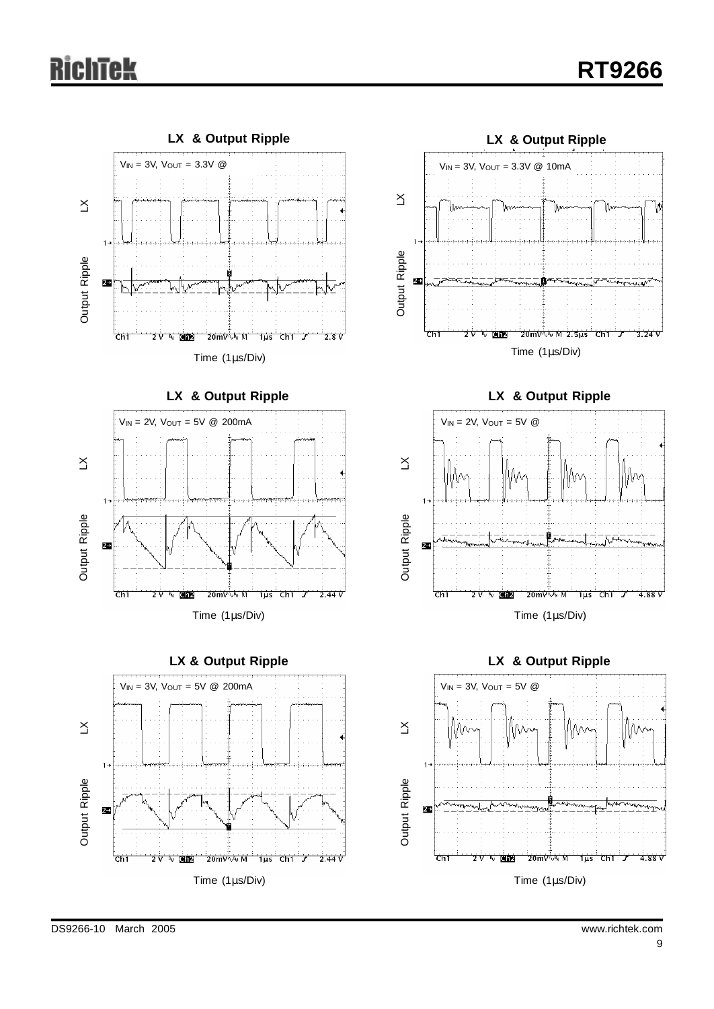# ichtek













**LX & Output Ripple**



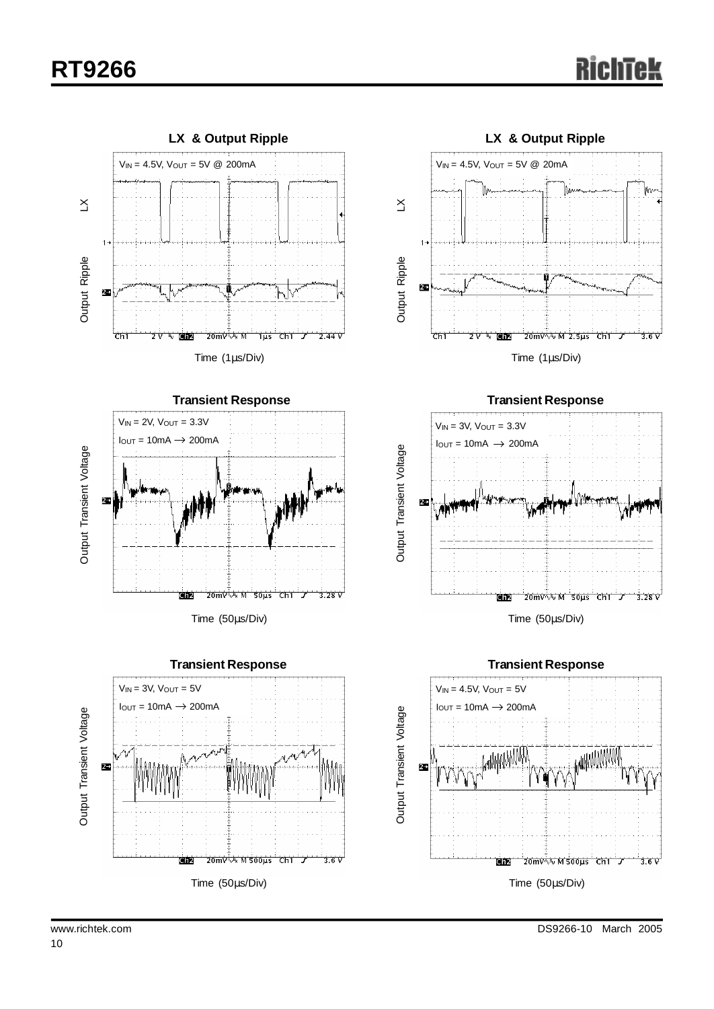# **RT9266**





**Transient Response**  $V_{IN} = 3V$ ,  $V_{OUT} = 5V$  $I_{\text{OUT}} = 10 \text{mA} \rightarrow 200 \text{mA}$ Output Transient Voltage Output Transient Voltage $\mathbf{r}$ 20mV w M 500us Ch1 <u>diz</u> ℸ  $3.6V$ Time (50μs/Div)



Time (1μs/Div)



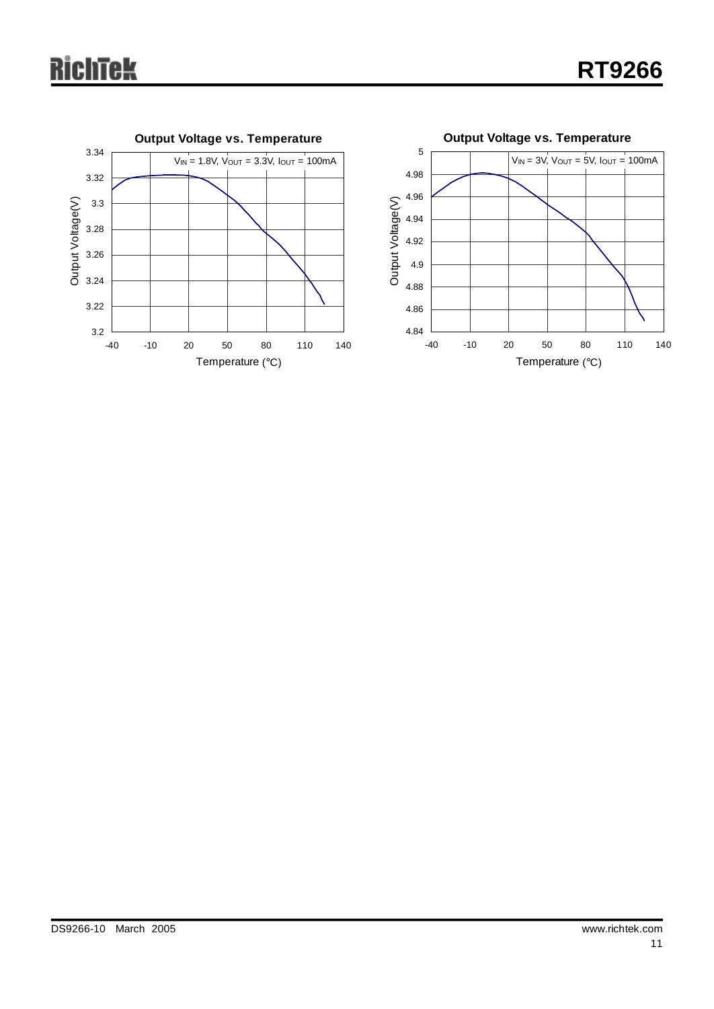# **RichTek**

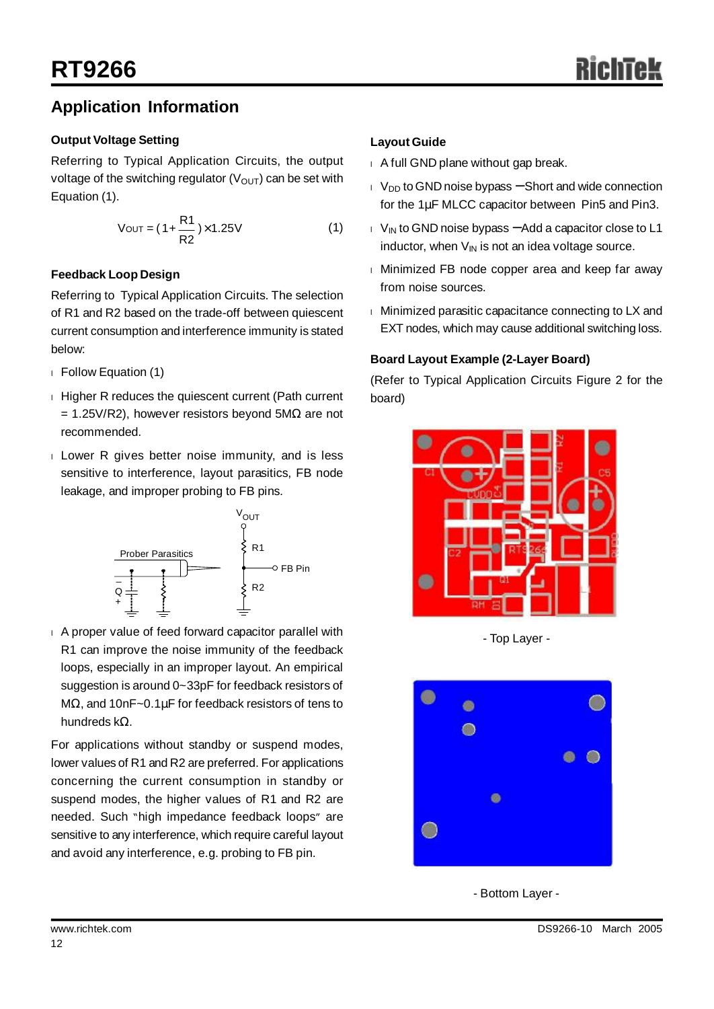### **Application Information**

#### **Output Voltage Setting**

Referring to Typical Application Circuits, the output voltage of the switching regulator  $(V_{\text{OUT}})$  can be set with Equation (1).

$$
V_{\text{OUT}} = (1 + \frac{R1}{R2}) \times 1.25V
$$
 (1)

#### **Feedback Loop Design**

Referring to Typical Application Circuits. The selection of R1 and R2 based on the trade-off between quiescent current consumption and interference immunity is stated below:

- <sup>l</sup> Follow Equation (1)
- <sup>l</sup> Higher R reduces the quiescent current (Path current  $= 1.25V/R2$ ), however resistors beyond 5MΩ are not recommended.
- <sup>l</sup> Lower R gives better noise immunity, and is less sensitive to interference, layout parasitics, FB node leakage, and improper probing to FB pins.



<sup>l</sup> A proper value of feed forward capacitor parallel with R1 can improve the noise immunity of the feedback loops, especially in an improper layout. An empirical suggestion is around 0~33pF for feedback resistors of MΩ, and 10nF~0.1μF for feedback resistors of tens to hundreds kΩ.

For applications without standby or suspend modes, lower values of R1 and R2 are preferred. For applications concerning the current consumption in standby or suspend modes, the higher values of R1 and R2 are needed. Such "high impedance feedback loops" are sensitive to any interference, which require careful layout and avoid any interference, e.g. probing to FB pin.

#### **Layout Guide**

- <sup>l</sup> A full GND plane without gap break.
- <sup>l</sup> VDD to GND noise bypass − Short and wide connection for the 1μF MLCC capacitor between Pin5 and Pin3.
- <sup>l</sup> VIN to GND noise bypass −Add a capacitor close to L1 inductor, when  $V_{IN}$  is not an idea voltage source.
- <sup>l</sup> Minimized FB node copper area and keep far away from noise sources.
- <sup>l</sup> Minimized parasitic capacitance connecting to LX and EXT nodes, which may cause additional switching loss.

#### **Board Layout Example (2-Layer Board)**

(Refer to Typical Application Circuits Figure 2 for the board)



- Top Layer -



- Bottom Layer -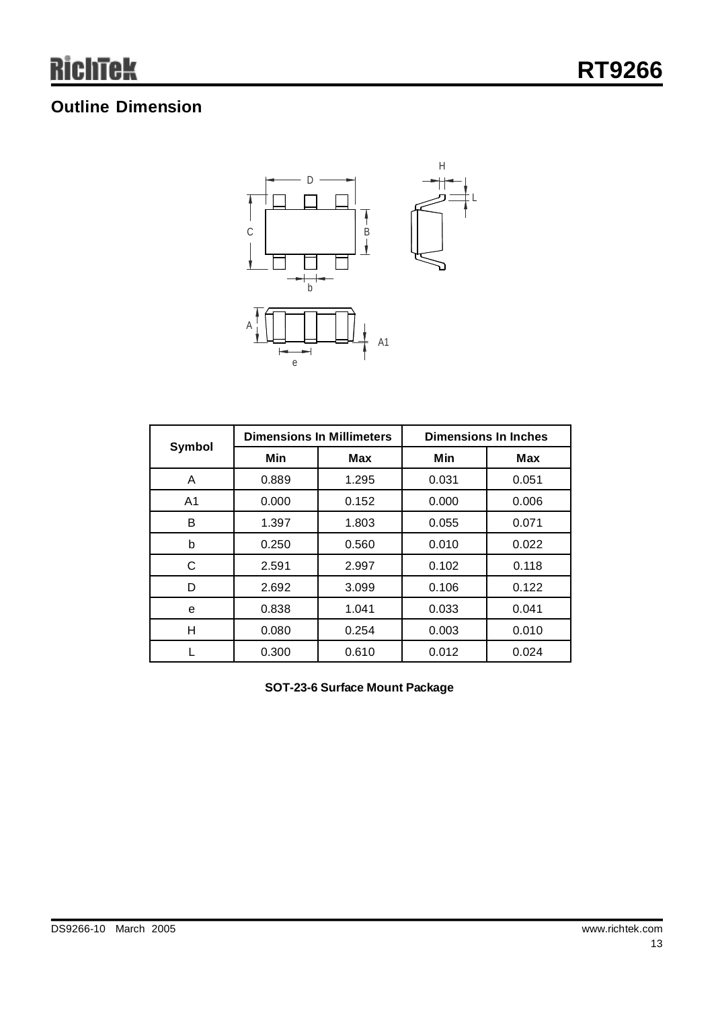## **Outline Dimension**



|                |       | <b>Dimensions In Millimeters</b> | <b>Dimensions In Inches</b> |            |  |
|----------------|-------|----------------------------------|-----------------------------|------------|--|
| Symbol         | Min   | Max                              | Min                         | <b>Max</b> |  |
| A              | 0.889 | 1.295                            | 0.031                       | 0.051      |  |
| A <sub>1</sub> | 0.000 | 0.152                            | 0.000                       | 0.006      |  |
| B              | 1.397 | 1.803                            | 0.055                       | 0.071      |  |
| b              | 0.250 | 0.560                            | 0.010                       | 0.022      |  |
| C              | 2.591 | 2.997                            | 0.102                       | 0.118      |  |
| D              | 2.692 | 3.099                            | 0.106                       | 0.122      |  |
| e              | 0.838 | 1.041                            | 0.033                       | 0.041      |  |
| Н              | 0.080 | 0.254                            | 0.003                       | 0.010      |  |
|                | 0.300 | 0.610                            | 0.012                       | 0.024      |  |

**SOT-23-6 Surface Mount Package**